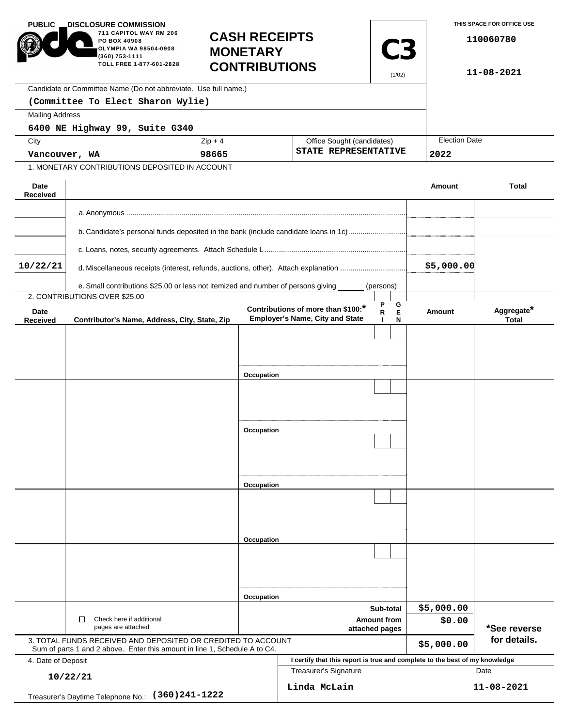| <b>PUBLIC</b>                                                                                                                              | <b>DISCLOSURE COMMISSION.</b>                                                                                        |                                         |                                      |                                                                              |                            |             |                  | THIS SPACE FOR OFFICE USE  |  |
|--------------------------------------------------------------------------------------------------------------------------------------------|----------------------------------------------------------------------------------------------------------------------|-----------------------------------------|--------------------------------------|------------------------------------------------------------------------------|----------------------------|-------------|------------------|----------------------------|--|
|                                                                                                                                            | 711 CAPITOL WAY RM 206<br><b>PO BOX 40908</b><br>OLYMPIA WA 98504-0908<br>(360) 753-1111<br>TOLL FREE 1-877-601-2828 | <b>CASH RECEIPTS</b><br><b>MONETARY</b> |                                      |                                                                              |                            | <b>C3</b>   |                  | 110060780                  |  |
|                                                                                                                                            | <b>CONTRIBUTIONS</b><br>(1/02)                                                                                       |                                         |                                      |                                                                              |                            |             |                  | 11-08-2021                 |  |
|                                                                                                                                            | Candidate or Committee Name (Do not abbreviate. Use full name.)                                                      |                                         |                                      |                                                                              |                            |             |                  |                            |  |
|                                                                                                                                            | (Committee To Elect Sharon Wylie)                                                                                    |                                         |                                      |                                                                              |                            |             |                  |                            |  |
| <b>Mailing Address</b>                                                                                                                     |                                                                                                                      |                                         |                                      |                                                                              |                            |             |                  |                            |  |
|                                                                                                                                            | 6400 NE Highway 99, Suite G340                                                                                       |                                         |                                      |                                                                              |                            |             |                  |                            |  |
|                                                                                                                                            | City                                                                                                                 |                                         | $Zip + 4$                            |                                                                              | Office Sought (candidates) |             |                  | <b>Election Date</b>       |  |
| Vancouver, WA                                                                                                                              |                                                                                                                      | 98665                                   |                                      | STATE REPRESENTATIVE                                                         |                            |             | 2022             |                            |  |
|                                                                                                                                            | 1. MONETARY CONTRIBUTIONS DEPOSITED IN ACCOUNT                                                                       |                                         |                                      |                                                                              |                            |             |                  |                            |  |
| Date<br><b>Received</b>                                                                                                                    |                                                                                                                      |                                         |                                      |                                                                              |                            |             | Amount           | <b>Total</b>               |  |
|                                                                                                                                            |                                                                                                                      |                                         |                                      |                                                                              |                            |             |                  |                            |  |
|                                                                                                                                            | b. Candidate's personal funds deposited in the bank (include candidate loans in 1c)                                  |                                         |                                      |                                                                              |                            |             |                  |                            |  |
|                                                                                                                                            |                                                                                                                      |                                         |                                      |                                                                              |                            |             |                  |                            |  |
| 10/22/21                                                                                                                                   |                                                                                                                      |                                         |                                      |                                                                              |                            |             | \$5,000.00       |                            |  |
|                                                                                                                                            | e. Small contributions \$25.00 or less not itemized and number of persons giving                                     |                                         |                                      |                                                                              | (persons)                  |             |                  |                            |  |
|                                                                                                                                            | 2. CONTRIBUTIONS OVER \$25.00                                                                                        |                                         |                                      |                                                                              |                            |             |                  |                            |  |
| Date<br><b>Received</b>                                                                                                                    | Contributor's Name, Address, City, State, Zip                                                                        |                                         |                                      | Contributions of more than \$100:*<br><b>Employer's Name, City and State</b> | P<br>R<br>ш                | G<br>Е<br>N | Amount           | Aggregate*<br><b>Total</b> |  |
|                                                                                                                                            |                                                                                                                      |                                         |                                      |                                                                              |                            |             |                  |                            |  |
|                                                                                                                                            |                                                                                                                      |                                         |                                      |                                                                              |                            |             |                  |                            |  |
|                                                                                                                                            |                                                                                                                      |                                         |                                      |                                                                              |                            |             |                  |                            |  |
|                                                                                                                                            |                                                                                                                      | Occupation                              |                                      |                                                                              |                            |             |                  |                            |  |
|                                                                                                                                            |                                                                                                                      |                                         |                                      |                                                                              |                            |             |                  |                            |  |
|                                                                                                                                            |                                                                                                                      |                                         |                                      |                                                                              |                            |             |                  |                            |  |
|                                                                                                                                            |                                                                                                                      |                                         |                                      |                                                                              |                            |             |                  |                            |  |
|                                                                                                                                            |                                                                                                                      | Occupation                              |                                      |                                                                              |                            |             |                  |                            |  |
|                                                                                                                                            |                                                                                                                      |                                         |                                      |                                                                              |                            |             |                  |                            |  |
|                                                                                                                                            |                                                                                                                      |                                         |                                      |                                                                              |                            |             |                  |                            |  |
|                                                                                                                                            |                                                                                                                      |                                         |                                      |                                                                              |                            |             |                  |                            |  |
|                                                                                                                                            |                                                                                                                      | Occupation                              |                                      |                                                                              |                            |             |                  |                            |  |
|                                                                                                                                            |                                                                                                                      |                                         |                                      |                                                                              |                            |             |                  |                            |  |
|                                                                                                                                            |                                                                                                                      |                                         |                                      |                                                                              |                            |             |                  |                            |  |
|                                                                                                                                            |                                                                                                                      |                                         |                                      |                                                                              |                            |             |                  |                            |  |
|                                                                                                                                            |                                                                                                                      | Occupation                              |                                      |                                                                              |                            |             |                  |                            |  |
|                                                                                                                                            |                                                                                                                      |                                         |                                      |                                                                              |                            |             |                  |                            |  |
|                                                                                                                                            |                                                                                                                      |                                         |                                      |                                                                              |                            |             |                  |                            |  |
|                                                                                                                                            |                                                                                                                      |                                         |                                      |                                                                              |                            |             |                  |                            |  |
|                                                                                                                                            |                                                                                                                      | Occupation                              |                                      |                                                                              |                            |             |                  |                            |  |
|                                                                                                                                            |                                                                                                                      |                                         | Sub-total                            |                                                                              |                            | \$5,000.00  |                  |                            |  |
| Check here if additional<br>□<br>pages are attached                                                                                        |                                                                                                                      |                                         | <b>Amount from</b><br>attached pages |                                                                              |                            |             | \$0.00           | *See reverse               |  |
| 3. TOTAL FUNDS RECEIVED AND DEPOSITED OR CREDITED TO ACCOUNT<br>Sum of parts 1 and 2 above. Enter this amount in line 1, Schedule A to C4. |                                                                                                                      |                                         |                                      |                                                                              |                            | \$5,000.00  | for details.     |                            |  |
| 4. Date of Deposit                                                                                                                         |                                                                                                                      |                                         |                                      | I certify that this report is true and complete to the best of my knowledge  |                            |             |                  |                            |  |
|                                                                                                                                            |                                                                                                                      |                                         |                                      | <b>Treasurer's Signature</b>                                                 |                            |             |                  | Date                       |  |
| 10/22/21<br>$(360)241 - 1222$                                                                                                              |                                                                                                                      |                                         |                                      | Linda McLain                                                                 |                            |             | $11 - 08 - 2021$ |                            |  |
|                                                                                                                                            | Treasurer's Daytime Telephone No.:                                                                                   |                                         |                                      |                                                                              |                            |             |                  |                            |  |